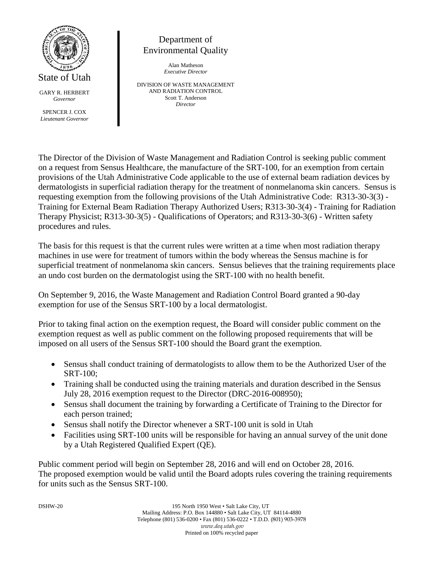

Department of Environmental Quality

> Alan Matheson *Executive Director*

DIVISION OF WASTE MANAGEMENT AND RADIATION CONTROL Scott T. Anderson *Director*

The Director of the Division of Waste Management and Radiation Control is seeking public comment on a request from Sensus Healthcare, the manufacture of the SRT-100, for an exemption from certain provisions of the Utah Administrative Code applicable to the use of external beam radiation devices by dermatologists in superficial radiation therapy for the treatment of nonmelanoma skin cancers. Sensus is requesting exemption from the following provisions of the Utah Administrative Code: R313-30-3(3) - Training for External Beam Radiation Therapy Authorized Users; R313-30-3(4) - Training for Radiation Therapy Physicist; R313-30-3(5) - Qualifications of Operators; and R313-30-3(6) - Written safety procedures and rules.

The basis for this request is that the current rules were written at a time when most radiation therapy machines in use were for treatment of tumors within the body whereas the Sensus machine is for superficial treatment of nonmelanoma skin cancers. Sensus believes that the training requirements place an undo cost burden on the dermatologist using the SRT-100 with no health benefit.

On September 9, 2016, the Waste Management and Radiation Control Board granted a 90-day exemption for use of the Sensus SRT-100 by a local dermatologist.

Prior to taking final action on the exemption request, the Board will consider public comment on the exemption request as well as public comment on the following proposed requirements that will be imposed on all users of the Sensus SRT-100 should the Board grant the exemption.

- Sensus shall conduct training of dermatologists to allow them to be the Authorized User of the SRT-100;
- Training shall be conducted using the training materials and duration described in the Sensus July 28, 2016 exemption request to the Director (DRC-2016-008950);
- Sensus shall document the training by forwarding a Certificate of Training to the Director for each person trained;
- Sensus shall notify the Director whenever a SRT-100 unit is sold in Utah
- Facilities using SRT-100 units will be responsible for having an annual survey of the unit done by a Utah Registered Qualified Expert (QE).

Public comment period will begin on September 28, 2016 and will end on October 28, 2016. The proposed exemption would be valid until the Board adopts rules covering the training requirements for units such as the Sensus SRT-100.